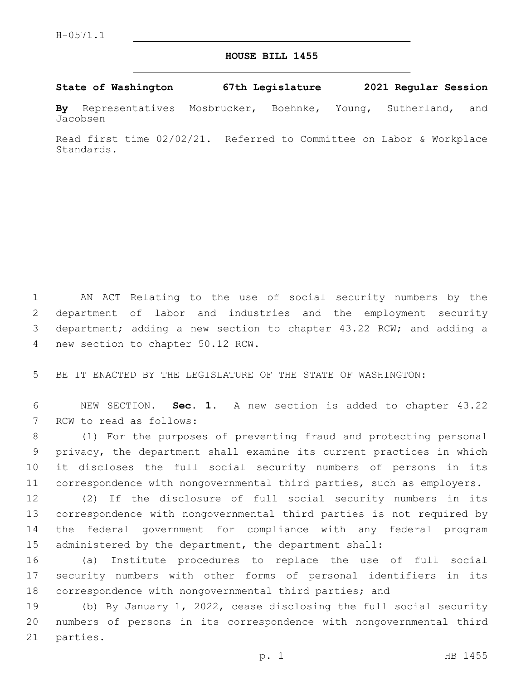## **HOUSE BILL 1455**

## **State of Washington 67th Legislature 2021 Regular Session**

**By** Representatives Mosbrucker, Boehnke, Young, Sutherland, and Jacobsen

Read first time 02/02/21. Referred to Committee on Labor & Workplace Standards.

 AN ACT Relating to the use of social security numbers by the department of labor and industries and the employment security department; adding a new section to chapter 43.22 RCW; and adding a 4 new section to chapter 50.12 RCW.

BE IT ENACTED BY THE LEGISLATURE OF THE STATE OF WASHINGTON:

 NEW SECTION. **Sec. 1.** A new section is added to chapter 43.22 7 RCW to read as follows:

 (1) For the purposes of preventing fraud and protecting personal privacy, the department shall examine its current practices in which it discloses the full social security numbers of persons in its correspondence with nongovernmental third parties, such as employers.

 (2) If the disclosure of full social security numbers in its correspondence with nongovernmental third parties is not required by the federal government for compliance with any federal program administered by the department, the department shall:

 (a) Institute procedures to replace the use of full social security numbers with other forms of personal identifiers in its correspondence with nongovernmental third parties; and

 (b) By January 1, 2022, cease disclosing the full social security numbers of persons in its correspondence with nongovernmental third 21 parties.